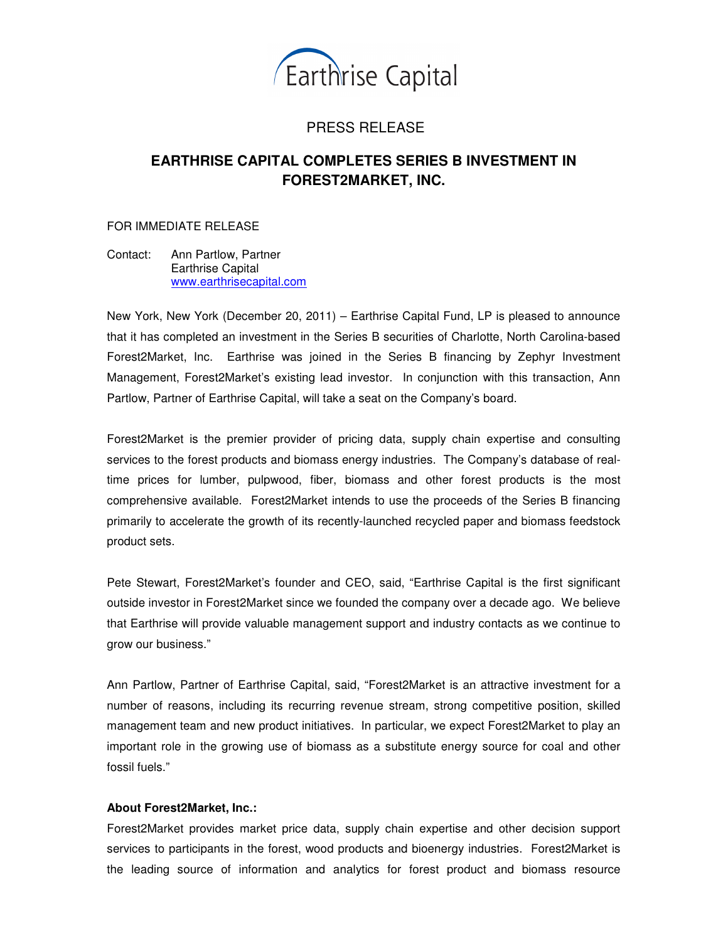

## PRESS RELEASE

## **EARTHRISE CAPITAL COMPLETES SERIES B INVESTMENT IN FOREST2MARKET, INC.**

FOR IMMEDIATE RELEASE

Contact: Ann Partlow, Partner Earthrise Capital www.earthrisecapital.com

New York, New York (December 20, 2011) – Earthrise Capital Fund, LP is pleased to announce that it has completed an investment in the Series B securities of Charlotte, North Carolina-based Forest2Market, Inc. Earthrise was joined in the Series B financing by Zephyr Investment Management, Forest2Market's existing lead investor. In conjunction with this transaction, Ann Partlow, Partner of Earthrise Capital, will take a seat on the Company's board.

Forest2Market is the premier provider of pricing data, supply chain expertise and consulting services to the forest products and biomass energy industries. The Company's database of realtime prices for lumber, pulpwood, fiber, biomass and other forest products is the most comprehensive available. Forest2Market intends to use the proceeds of the Series B financing primarily to accelerate the growth of its recently-launched recycled paper and biomass feedstock product sets.

Pete Stewart, Forest2Market's founder and CEO, said, "Earthrise Capital is the first significant outside investor in Forest2Market since we founded the company over a decade ago. We believe that Earthrise will provide valuable management support and industry contacts as we continue to grow our business."

Ann Partlow, Partner of Earthrise Capital, said, "Forest2Market is an attractive investment for a number of reasons, including its recurring revenue stream, strong competitive position, skilled management team and new product initiatives. In particular, we expect Forest2Market to play an important role in the growing use of biomass as a substitute energy source for coal and other fossil fuels."

## **About Forest2Market, Inc.:**

Forest2Market provides market price data, supply chain expertise and other decision support services to participants in the forest, wood products and bioenergy industries. Forest2Market is the leading source of information and analytics for forest product and biomass resource